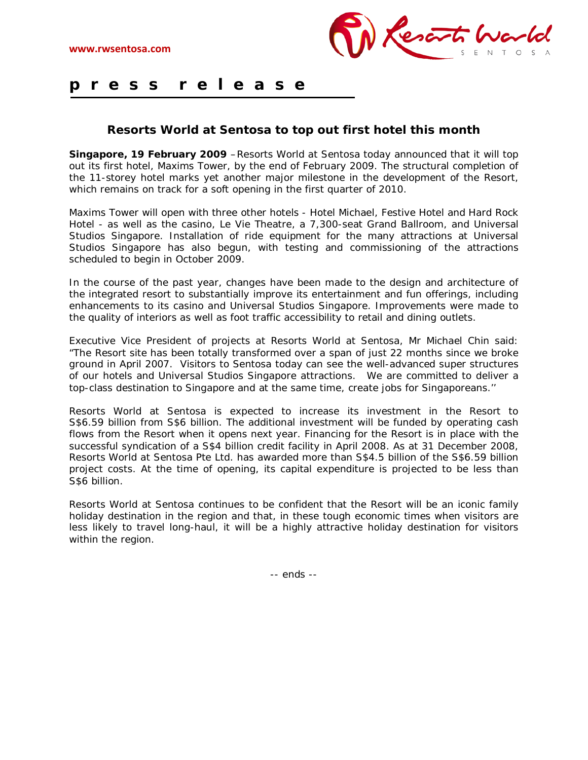

## **p r e s s r e l e a s e** Ξ

## **Resorts World at Sentosa to top out first hotel this month**

**Singapore, 19 February 2009** – Resorts World at Sentosa today announced that it will top out its first hotel, Maxims Tower, by the end of February 2009. The structural completion of the 11-storey hotel marks yet another major milestone in the development of the Resort, which remains on track for a soft opening in the first quarter of 2010.

Maxims Tower will open with three other hotels - Hotel Michael, Festive Hotel and Hard Rock Hotel - as well as the casino, Le Vie Theatre, a 7,300-seat Grand Ballroom, and Universal Studios Singapore. Installation of ride equipment for the many attractions at Universal Studios Singapore has also begun, with testing and commissioning of the attractions scheduled to begin in October 2009.

In the course of the past year, changes have been made to the design and architecture of the integrated resort to substantially improve its entertainment and fun offerings, including enhancements to its casino and Universal Studios Singapore. Improvements were made to the quality of interiors as well as foot traffic accessibility to retail and dining outlets.

Executive Vice President of projects at Resorts World at Sentosa, Mr Michael Chin said: "The Resort site has been totally transformed over a span of just 22 months since we broke ground in April 2007. Visitors to Sentosa today can see the well-advanced super structures of our hotels and Universal Studios Singapore attractions. We are committed to deliver a top-class destination to Singapore and at the same time, create jobs for Singaporeans.''

Resorts World at Sentosa is expected to increase its investment in the Resort to S\$6.59 billion from S\$6 billion. The additional investment will be funded by operating cash flows from the Resort when it opens next year. Financing for the Resort is in place with the successful syndication of a S\$4 billion credit facility in April 2008. As at 31 December 2008, Resorts World at Sentosa Pte Ltd. has awarded more than S\$4.5 billion of the S\$6.59 billion project costs. At the time of opening, its capital expenditure is projected to be less than S\$6 billion.

Resorts World at Sentosa continues to be confident that the Resort will be an iconic family holiday destination in the region and that, in these tough economic times when visitors are less likely to travel long-haul, it will be a highly attractive holiday destination for visitors within the region.

-- ends --